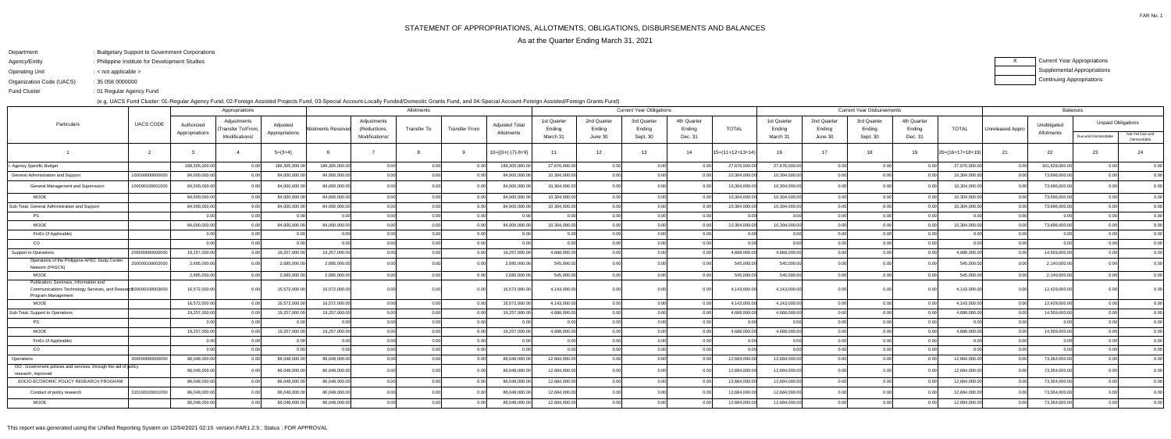FAR No. 1

ending the U.S. of Regular Agency Fund Fund Cluster

- Department: Budgetary Support to Government Corporations
- Agency/EntityPhilippine Institute for Development Studies:
- Operating Unit< not applicable >:

Organization Code (UACS)35 058 0000000:

(e.g. UACS Fund Cluster: 01-Regular Agency Fund, 02-Foreign Assisted Projects Fund, 03-Special Account-Locally Funded/Domestic Grants Fund, and 04-Special Account-Foreign Assisted/Foreign Grants Fund)

XCurrent Year Appropriations Supplemental AppropriationsContinuing Appropriations

|                                                                                                                                 | UACS CODE       |                | Appropriations                   |                | Allotments          |                             |                    |                      |                                     |                                   | <b>Current Year Obligations</b> |                       |                       |                    |                       | <b>Current Year Disbursements</b> |                       |                       |                    |                  | <b>Balances</b> |                           |                               |
|---------------------------------------------------------------------------------------------------------------------------------|-----------------|----------------|----------------------------------|----------------|---------------------|-----------------------------|--------------------|----------------------|-------------------------------------|-----------------------------------|---------------------------------|-----------------------|-----------------------|--------------------|-----------------------|-----------------------------------|-----------------------|-----------------------|--------------------|------------------|-----------------|---------------------------|-------------------------------|
| Particulars                                                                                                                     |                 | Authorized     | Adjustments<br>Transfer To/From, | Adjusted       | Allotments Received | Adjustments<br>(Reductions, | <b>Transfer To</b> | <b>Transfer From</b> | <b>Adjusted Total</b><br>Allotments | 1st Quarter<br>Ending<br>March 31 | 2nd Quarter<br>Ending           | 3rd Quarter<br>Ending | 4th Quarter<br>Ending | <b>TOTAL</b>       | 1st Quarter<br>Ending | 2nd Quarter<br>Ending             | 3rd Quarter<br>Ending | 4th Quarter<br>Ending | <b>TOTAL</b>       | Unreleased Appro | Unobligated     | <b>Unpaid Obligations</b> |                               |
|                                                                                                                                 |                 | Appropriations | Modifications/                   | Appropriations |                     | Modifications/              |                    |                      |                                     |                                   | June 30                         | Sept. 30              | Dec. 31               |                    | March 31              | June 30                           | Sept. 30              | Dec. 31               |                    |                  | Allotments      | Due and Demandable        | Not Yet Due and<br>Demandable |
|                                                                                                                                 |                 |                |                                  | $5=(3+4)$      |                     |                             |                    |                      | 10=[{6+(-)7}-8+9]                   | 11                                | 12                              | 13                    | 14                    | $15=(11+12+13+14)$ | 16                    | 17                                | 18                    | 19                    | $20=(16+17+18+19)$ | -21              | 22              | 23                        | 24                            |
| Agency Specific Budget                                                                                                          |                 | 189,305,000.0  | 0.00                             | 189,305,000.0  | 189,305,000.0       | 0.00                        | 0.0                | 0 <sub>0</sub>       | 189,305,000.00                      | 27,676,000.00                     | 0.00                            | 0.00                  |                       | 27,676,000.0       | 27,676,000.00         | 0.00                              | 0.00                  |                       | 27,676,000.00      | 0.00             | 161,629,000.00  | 0.00                      | 0.00                          |
| General Administration and Support                                                                                              | 1000000000000   | 84,000,000.0   | 0.00                             | 84,000,000.0   | 84,000,000.0        | 0.00                        | 0.00               | 0.00                 | 84,000,000.00                       | 10,304,000.00                     | 0.00                            | 0.00                  |                       | 10,304,000.0       | 10,304,000.0          | 0.00                              | 0.00                  |                       | 10,304,000.00      | 0.00             | 73,696,000.00   | 0.00                      | 0.00                          |
| General Management and Supervision                                                                                              | 100000100001000 | 84,000,000.00  | 0.00                             | 84,000,000.00  | 84,000,000.0        | 0.00                        | 0.00               | 0.00                 | 84,000,000.00                       | 10,304,000.00                     | 0.00                            | 0.00                  |                       | 10,304,000.0       | 10,304,000.00         | 0.00l                             | 0.00                  |                       | 10,304,000.00      | 0.00             | 73,696,000.00   | 0.00 <sub>l</sub>         | 0.00                          |
| <b>MOOE</b>                                                                                                                     |                 | 84,000,000.0   |                                  | 84,000,000.0   | 84.000.000.0        | 0.00                        | 0.00               | 0 <sub>0</sub>       | 84,000,000.00                       | 10,304,000.00                     | 0.00                            | 0.00                  |                       | 10,304,000.0       | 10,304,000.0          | 0.00                              | 0.00                  |                       | 10,304,000.00      | 0.0              | 73,696,000.00   | 0.00                      | 0.00                          |
| Sub-Total, General Administration and Support                                                                                   |                 | 84,000,000.00  | 0.001                            | 84,000,000.00  | 84,000,000.0        | 0.00                        | 0.00               | 0.00                 | 84,000,000.00                       | 10,304,000.00                     | 0.00                            | 0.00                  |                       | 10,304,000.00      | 10,304,000.00         | 0.00 <sub>l</sub>                 | 0.001                 |                       | 10,304,000.00      | 0.00             | 73,696,000.00   | 0.00                      | 0.00                          |
| <b>PS</b>                                                                                                                       |                 |                | 0.001                            |                |                     | 0.00                        | 0.00               | 0.00                 | 0.001                               | 0.00                              | 0.00                            | 0.00                  |                       | 0.00               |                       | 0.00l                             | n ool                 |                       | 0.00l              | 0.00             | 0.00            | 0.00 <sub>l</sub>         | 0.00                          |
| <b>MOOE</b>                                                                                                                     |                 | 84,000,000.00  |                                  | 84,000,000.00  | 84,000,000.0        | 0.00l                       | 0.00               | 0.00                 | 84,000,000.00                       | 10,304,000.00                     | 0.00                            | 0.00                  |                       | 10,304,000.0       | 10,304,000.00         | 0.00 <sub>l</sub>                 | 0.001                 |                       | 10,304,000.00      | 0.00             | 73,696,000.0    | 0.00                      | 0.00                          |
| FinEx (if Applicable)                                                                                                           |                 | 0.00           | 0.00 <sub>l</sub>                | _0.00          |                     | 0.00                        | 0.00               | 0.00                 | 0.001                               | 0.00                              | 0.00                            | 0.00                  |                       | 0.00               |                       | 0.00 <sub>l</sub>                 | 0.00                  |                       | 0.00l              | 0.00             | 0.00            | 0.00 <sub>l</sub>         | 0.00                          |
| CO                                                                                                                              |                 |                | 0.001                            | $\cap$ $\cap$  |                     | 0.00                        | 0.00               | 0.00                 | 0.OC                                | n nn                              | 0.00                            | 0.00                  | $\cap$                | 0.00               |                       | 0.00 <sub>l</sub>                 | 0.00                  |                       | 0.00               | 0.00             | $\cap$          | 0.00                      | 0.00                          |
| Support to Operations                                                                                                           | 2000000000000   | 19,257,000.00  | 0.001                            | 19,257,000.00  | 19,257,000.00       | 0.00                        | 0.00               | 0.00                 | 19,257,000.00                       | 4,688,000.00                      | 0.00                            | 0.00                  | 0.00                  | 4,688,000.00       | 4,688,000.00          | 0.00                              | 0.00                  | 0 Q                   | 4,688,000.00       | 0.00             | 14,569,000.00   | 0.00                      | 0.00                          |
| Operations of the Philippine APEC Study Center<br>Network (PASCN)                                                               | 20000010000200  | 2,685,000.0    |                                  | 2,685,000.00   | 2,685,000.0         | 0.00                        | 0.00               | 0 <sub>0</sub>       | 2,685,000.00                        | 545,000.00                        | 0.00                            | 0.00                  |                       | 545,000.0          | 545,000.00            | 0.00 <sub>l</sub>                 | n nr                  |                       | 545,000.00         | 0.00             | 2,140,000.00    | 0.00                      | 0.00                          |
| <b>MOOE</b>                                                                                                                     |                 | 2,685,000.00   | 0.00                             | 2,685,000.00   | 2,685,000.0         | 0.00                        | 0.00               | 0.00                 | 2,685,000.00                        | 545,000.00                        | 0.00                            | 0.00                  | $\cap$                | 545,000.00         | 545,000.00            | 0.00                              | 0.00                  |                       | 545,000.00         | 0.00             | 2,140,000.00    | 0.00                      | 0.00                          |
| Publication, Seminars, Information and<br>Communications Technology Services, and Research200000100003000<br>Program Management |                 | 16,572,000.00  | n ool                            | 16,572,000.00  | 16,572,000.0        | -0.00                       | 0.00               | 0 <sup>0</sup>       | 16,572,000.00                       | 4,143,000.00                      | n nn                            |                       |                       | 4,143,000.0        | 4,143,000.0           | n ool                             | n nr                  |                       | 4,143,000.00       | 0.00             | 12,429,000.0    |                           | 0.00                          |
| <b>MOOE</b>                                                                                                                     |                 | 16,572,000.0   | 0.00                             | 16,572,000.00  | 16,572,000.0        | 0.00                        | 0.00               | 0.00                 | 16,572,000.00                       | 4,143,000.00                      | 0.00                            | 0.00                  |                       | 4,143,000.0        | 4,143,000.0           | 0.00 <sub>l</sub>                 | 0.00                  |                       | 4,143,000.00       | 0.00             | 12,429,000.0    | 0.00                      | 0.00                          |
| Sub-Total, Support to Operations                                                                                                |                 | 19,257,000.00  | 0.00                             | 19,257,000.00  | 19,257,000.0        | 0.00                        | 0.00               | 0.00                 | 19,257,000.00                       | 4,688,000.00                      | 0.00                            | 0.00                  |                       | 4,688,000.0        | 4,688,000.0           | 0.00                              | 0.00                  |                       | 4,688,000.00       | 0.00             | 14,569,000.00   | 0.00 <sub>l</sub>         | 0.00                          |
| <b>PS</b>                                                                                                                       |                 |                | 0.00                             |                |                     | 0.00                        | 0.00               | 0.00                 | 0.00                                | 0.00                              | 0.00                            | 0.00                  |                       | 0.0(               |                       | 0.00 <sub>l</sub>                 | n or                  |                       | 0.00               | 0.00             | 0 <sub>0</sub>  | 0.00                      | 0.00                          |
| <b>MOOE</b>                                                                                                                     |                 | 19,257,000.0   |                                  | 19,257,000.00  | 19,257,000.0        | 0.00l                       | 0.00               | 0.00                 | 19,257,000.00                       | 4,688,000.00                      | 0.00                            | 0.00                  |                       | 4,688,000.0        | 4,688,000.0           | 0.00 <sub>l</sub>                 | n nr                  |                       | 4,688,000.00       |                  | 14,569,000.0    |                           | 0.00                          |
| FinEx (if Applicable)                                                                                                           |                 | 0.00           | 0.001                            |                |                     | 0.00                        | 0.00               | 0.00                 | 0.001                               | 0.00                              | 0.00                            | 0.00                  |                       | 0.00               |                       | 0.00 <sub>l</sub>                 | 0.00                  |                       | 0.00l              | 0.00             | 0.00            | 0.00                      | 0.00                          |
| CO                                                                                                                              |                 |                | 0.001                            |                |                     | 0.00                        | 0.00               | 0.00                 | 0.00                                | n ool                             | 0.00                            | 0.00                  |                       | 0 U                |                       | 0.00 <sub>l</sub>                 | n nr                  |                       | 0.00               | 0.00             | $\Omega$        | 0. QQ                     | 0.00                          |
| Operations                                                                                                                      | 30000000000000  | 86,048,000.0   |                                  | 86,048,000.00  | 86,048,000.0        | 0.00                        | 0.00               | 0 <sub>0</sub>       | 86,048,000.00                       | 12,684,000.00                     | 0.00                            | 0.00                  |                       | 12,684,000.00      | 12,684,000.00         | 0.00 <sub>l</sub>                 | 0.00                  |                       | 12,684,000.00      | 0.00             | 73,364,000.0    | 0.00                      | 0.00                          |
| OO: Government policies and services, through the aid of policy<br>research, improved                                           |                 | 86,048,000.0   |                                  | 86,048,000.00  | 86,048,000.0        | 0.00                        |                    |                      | 86,048,000.00                       | 12,684,000.00                     |                                 |                       |                       | 12.684.000.0       | 12,684,000.00         | n nn                              |                       |                       | 12,684,000.00      | . N O            | 73,364,000.00   |                           | 0.00                          |
| SOCIO-ECONOMIC POLICY RESEARCH PROGRAM                                                                                          |                 | 86,048,000.0   |                                  | 86,048,000.0   | 86,048,000.0        | 0.00                        | 0.O                | 0 <sub>0</sub>       | 86,048,000.00                       | 12,684,000.00                     | 0.00                            | 0.00                  |                       | 12,684,000.0       | 12,684,000.0          | 0.00l                             | 0.00                  |                       | 12,684,000.0       | 0.00             | 73,364,000.0    | 0.00                      | 0.00                          |
| Conduct of policy research                                                                                                      | 310100100001000 | 86,048,000.0   |                                  | 86,048,000.00  | 86,048,000.0        | 0.00                        |                    |                      | 86,048,000.00                       | 12,684,000.00                     |                                 | 0.00                  |                       | 12,684,000.0       | 12,684,000.0          | 0.00                              |                       |                       | 12,684,000.00      |                  | 73,364,000.00   | ი იი                      | 0.00                          |
| MOOE                                                                                                                            |                 | 86,048,000.00  |                                  | 86,048,000.00  | 86,048,000.0        | 0.00l                       | 0.00               | 0 <sub>0</sub>       | 86,048,000.00                       | 12,684,000.00                     | 0.00                            | 0.00                  |                       | 12,684,000.0       | 12,684,000.00         | 0.00 <sub>l</sub>                 | n nnl                 |                       | 12,684,000.00      | 0.O              | 73,364,000.00   | 0.00                      | 0.00                          |